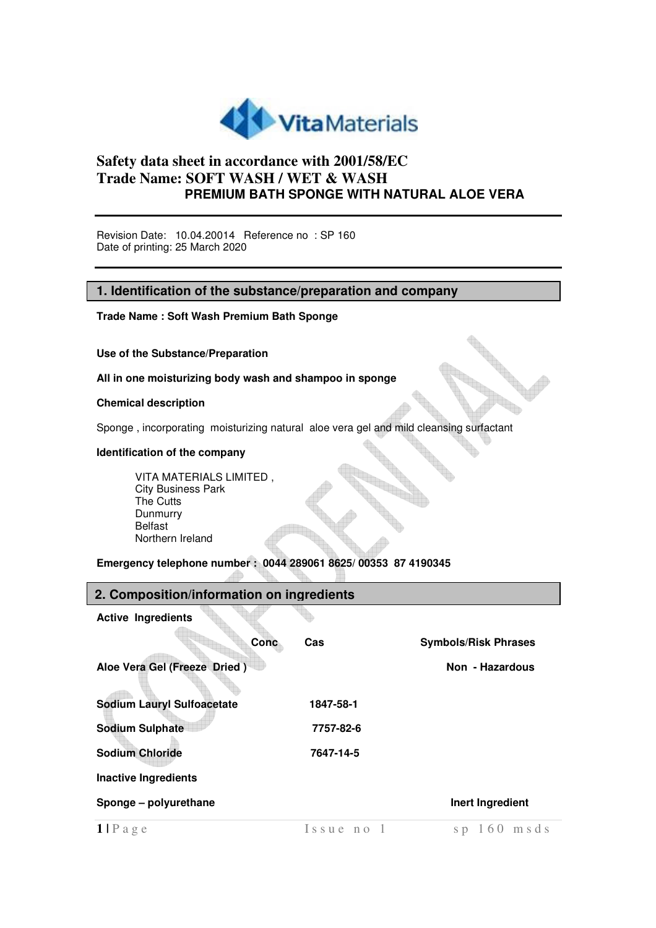

Revision Date: 10.04.20014 Reference no : SP 160 Date of printing: 25 March 2020

#### **1. Identification of the substance/preparation and company**

**Trade Name : Soft Wash Premium Bath Sponge** 

**Use of the Substance/Preparation** 

**All in one moisturizing body wash and shampoo in sponge** 

#### **Chemical description**

Sponge , incorporating moisturizing natural aloe vera gel and mild cleansing surfactant

#### **Identification of the company**

VITA MATERIALS LIMITED , City Business Park The Cutts Dunmurry Belfast Northern Ireland

**Emergency telephone number : 0044 289061 8625/ 00353 87 4190345**

#### **2. Composition/information on ingredients**

**Active Ingredients** 

| Conc                              | <b>Cas</b> | <b>Symbols/Risk Phrases</b> |
|-----------------------------------|------------|-----------------------------|
| Aloe Vera Gel (Freeze Dried)      |            | Non - Hazardous             |
| <b>Sodium Lauryl Sulfoacetate</b> | 1847-58-1  |                             |
| <b>Sodium Sulphate</b>            | 7757-82-6  |                             |
| <b>Sodium Chloride</b>            | 7647-14-5  |                             |
| <b>Inactive Ingredients</b>       |            |                             |
| Sponge - polyurethane             |            | Inert Ingredient            |
| $1$   P a g e                     | Issue no 1 | $sp 160$ msds               |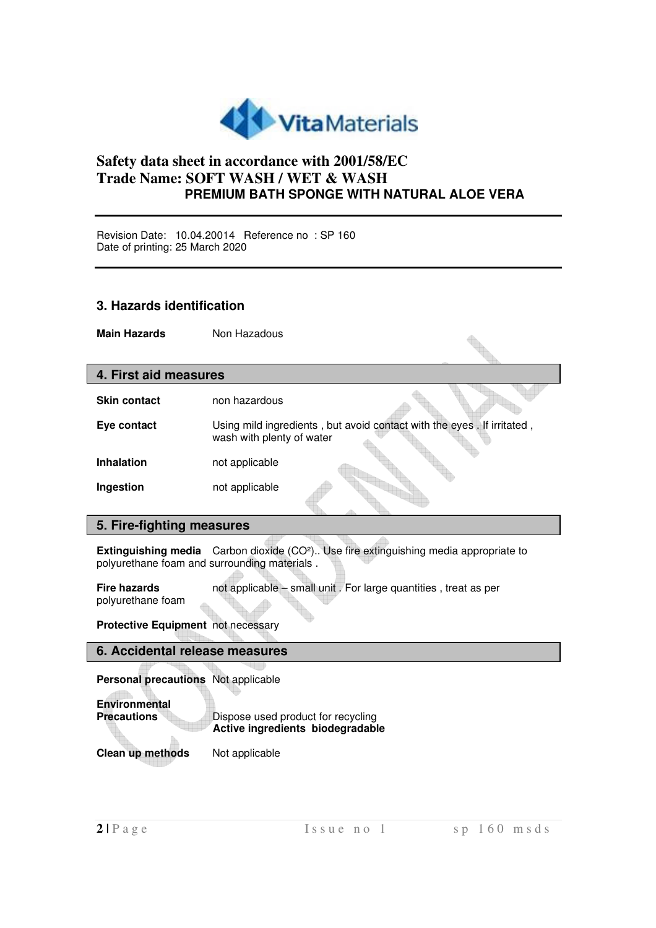

Revision Date: 10.04.20014 Reference no : SP 160 Date of printing: 25 March 2020

## **3. Hazards identification**

**Main Hazards Non Hazadous** 

| 4. First aid measures |                           |                                                                        |
|-----------------------|---------------------------|------------------------------------------------------------------------|
| <b>Skin contact</b>   | non hazardous             |                                                                        |
| Eye contact           | wash with plenty of water | Using mild ingredients, but avoid contact with the eyes. If irritated, |
| <b>Inhalation</b>     | not applicable            |                                                                        |
| Ingestion             | not applicable            |                                                                        |

## **5. Fire-fighting measures**

**Extinguishing media** Carbon dioxide (CO²).. Use fire extinguishing media appropriate to polyurethane foam and surrounding materials .

**Fire hazards** not applicable – small unit . For large quantities , treat as per polyurethane foam

**Protective Equipment** not necessary

### **6. Accidental release measures**

**Personal precautions** Not applicable

**Dispose used product for recycling Active ingredients biodegradable** 

**Clean up methods** Not applicable

**Environmental**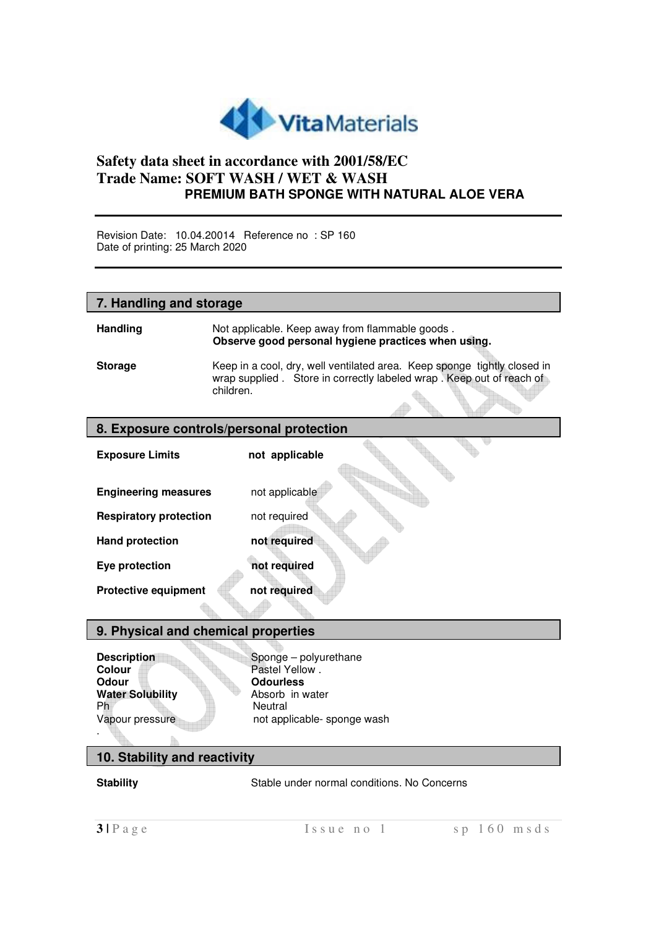

Revision Date: 10.04.20014 Reference no : SP 160 Date of printing: 25 March 2020

## **7. Handling and storage**

| <b>Handling</b> | Not applicable. Keep away from flammable goods.<br>Observe good personal hygiene practices when using.                                             |
|-----------------|----------------------------------------------------------------------------------------------------------------------------------------------------|
| <b>Storage</b>  | Keep in a cool, dry, well ventilated area. Keep sponge tightly closed in<br>wrap supplied . Store in correctly labeled wrap . Keep out of reach of |
|                 | children.                                                                                                                                          |

 $\triangle$ 

ta.

## **8. Exposure controls/personal protection**

| <b>Exposure Limits</b>        | not applicable |  |
|-------------------------------|----------------|--|
|                               |                |  |
| <b>Engineering measures</b>   | not applicable |  |
| <b>Respiratory protection</b> | not required   |  |
| <b>Hand protection</b>        | not required   |  |
| Eye protection                | not required   |  |
| <b>Protective equipment</b>   | not required   |  |
|                               |                |  |

#### **9. Physical and chemical properties**

**Colour Pastel Yellow .**<br> **Colour Pastel Yellow .**<br> **Colourless Water Solubility**<br>Ph Ph<br>
Vapour pressure extending the Neutral<br>
not app .

**Description Sponge – polyurethane**<br> **Colour** Pastel Yellow **Odourless**<br>Absorb in water not applicable- sponge wash

# **10. Stability and reactivity**

**Stability Stable under normal conditions. No Concerns**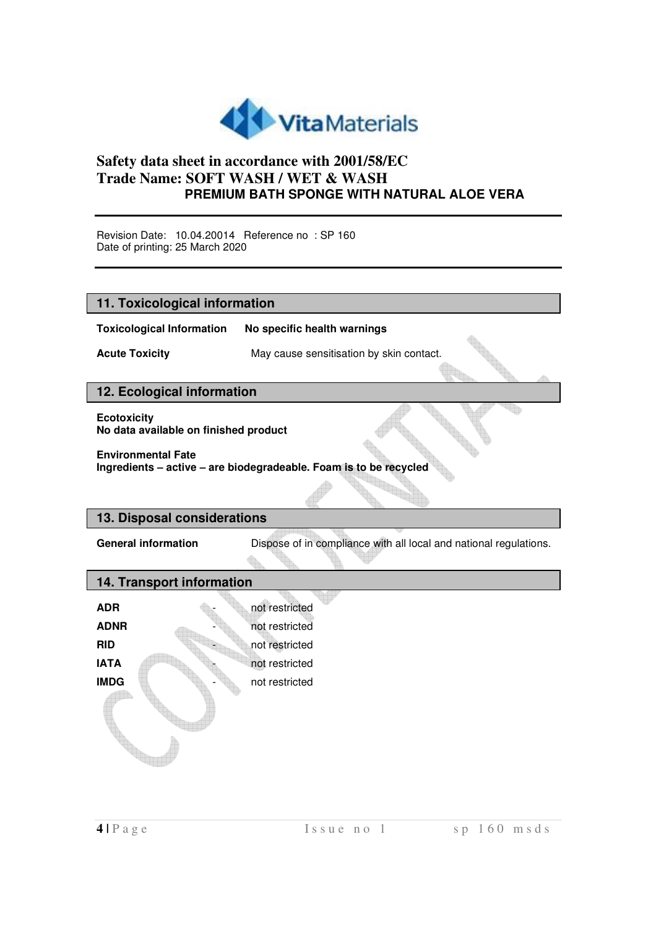

Revision Date: 10.04.20014 Reference no : SP 160 Date of printing: 25 March 2020

| 11. Toxicological information                               |                                                                   |
|-------------------------------------------------------------|-------------------------------------------------------------------|
|                                                             |                                                                   |
| <b>Toxicological Information</b>                            | No specific health warnings                                       |
| <b>Acute Toxicity</b>                                       | May cause sensitisation by skin contact.                          |
|                                                             |                                                                   |
| 12. Ecological information                                  |                                                                   |
| <b>Ecotoxicity</b><br>No data available on finished product |                                                                   |
| <b>Environmental Fate</b>                                   | Ingredients - active - are biodegradeable. Foam is to be recycled |
|                                                             |                                                                   |
| 13. Disposal considerations                                 |                                                                   |
| <b>General information</b>                                  | Dispose of in compliance with all local and national regulations. |
| 14. Transport information                                   |                                                                   |
| <b>ADR</b>                                                  | not restricted                                                    |
| <b>ADNR</b>                                                 | not restricted                                                    |
| <b>RID</b>                                                  | not restricted                                                    |
| <b>IATA</b>                                                 | not restricted                                                    |
| <b>IMDG</b>                                                 | not restricted                                                    |